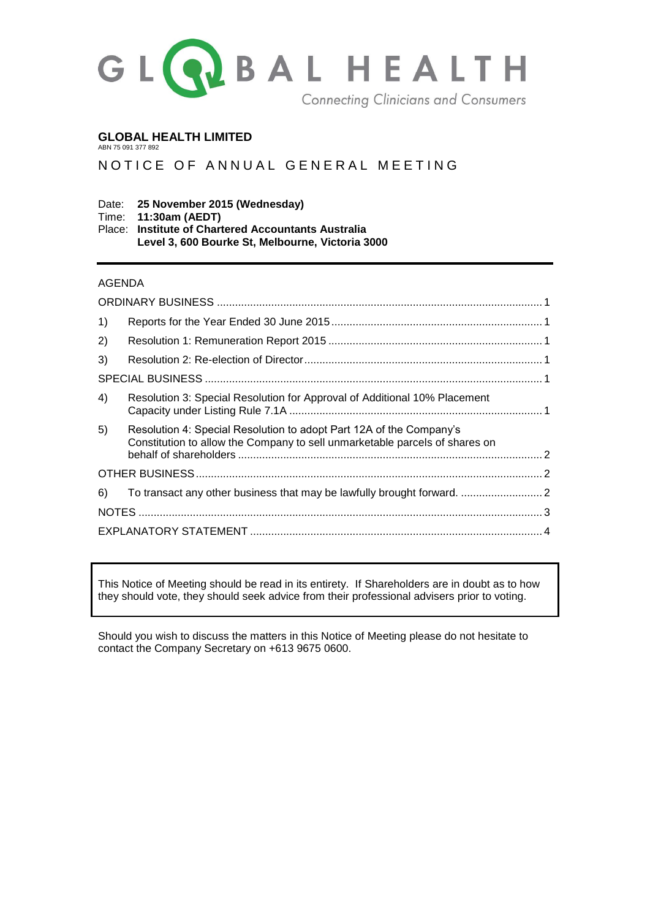

## **GLOBAL HEALTH LIMITED**

ABN 75 091 377 892

# NOTICE OF ANNUAL GENERAL MEETING

#### Date: **25 November 2015 (Wednesday)** Time: **11:30am (AEDT)**

Place: **Institute of Chartered Accountants Australia Level 3, 600 Bourke St, Melbourne, Victoria 3000**

## AGENDA

| 1) |                                                                                                                                                    |  |
|----|----------------------------------------------------------------------------------------------------------------------------------------------------|--|
| 2) |                                                                                                                                                    |  |
| 3) |                                                                                                                                                    |  |
|    |                                                                                                                                                    |  |
| 4) | Resolution 3: Special Resolution for Approval of Additional 10% Placement                                                                          |  |
| 5) | Resolution 4: Special Resolution to adopt Part 12A of the Company's<br>Constitution to allow the Company to sell unmarketable parcels of shares on |  |
|    |                                                                                                                                                    |  |
| 6) | To transact any other business that may be lawfully brought forward.  2                                                                            |  |
|    |                                                                                                                                                    |  |
|    |                                                                                                                                                    |  |

This Notice of Meeting should be read in its entirety. If Shareholders are in doubt as to how they should vote, they should seek advice from their professional advisers prior to voting.

Should you wish to discuss the matters in this Notice of Meeting please do not hesitate to contact the Company Secretary on +613 9675 0600.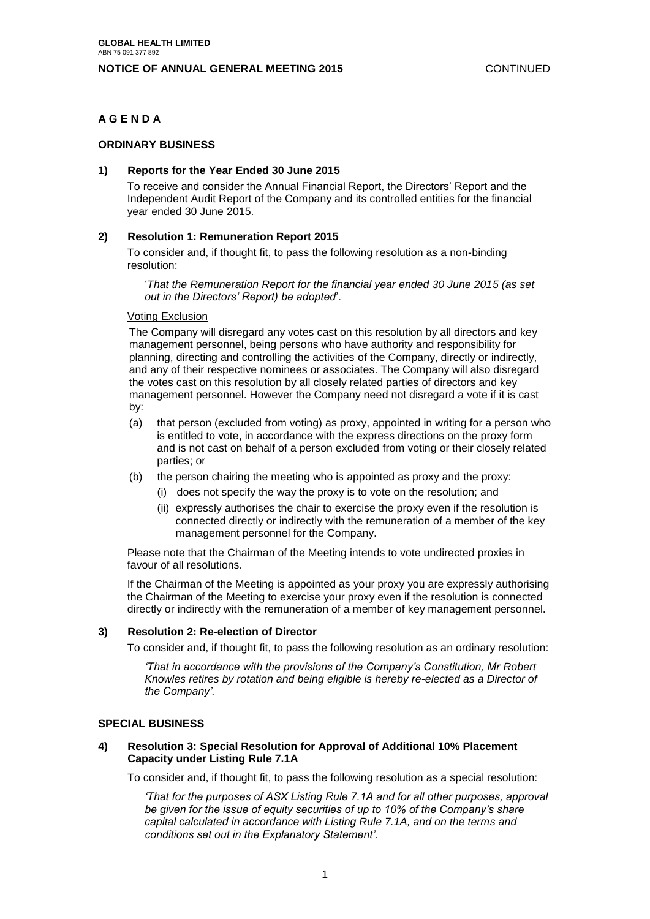### **NOTICE OF ANNUAL GENERAL MEETING 2015** CONTINUED

## <span id="page-1-0"></span>**A G E N D A**

### **ORDINARY BUSINESS**

### <span id="page-1-1"></span>**1) Reports for the Year Ended 30 June 2015**

To receive and consider the Annual Financial Report, the Directors' Report and the Independent Audit Report of the Company and its controlled entities for the financial year ended 30 June 2015.

### <span id="page-1-2"></span>**2) Resolution 1: Remuneration Report 2015**

To consider and, if thought fit, to pass the following resolution as a non-binding resolution:

'*That the Remuneration Report for the financial year ended 30 June 2015 (as set out in the Directors' Report) be adopted*'.

#### Voting Exclusion

The Company will disregard any votes cast on this resolution by all directors and key management personnel, being persons who have authority and responsibility for planning, directing and controlling the activities of the Company, directly or indirectly, and any of their respective nominees or associates. The Company will also disregard the votes cast on this resolution by all closely related parties of directors and key management personnel. However the Company need not disregard a vote if it is cast by:

- (a) that person (excluded from voting) as proxy, appointed in writing for a person who is entitled to vote, in accordance with the express directions on the proxy form and is not cast on behalf of a person excluded from voting or their closely related parties; or
- (b) the person chairing the meeting who is appointed as proxy and the proxy:
	- (i) does not specify the way the proxy is to vote on the resolution; and
	- (ii) expressly authorises the chair to exercise the proxy even if the resolution is connected directly or indirectly with the remuneration of a member of the key management personnel for the Company.

Please note that the Chairman of the Meeting intends to vote undirected proxies in favour of all resolutions.

If the Chairman of the Meeting is appointed as your proxy you are expressly authorising the Chairman of the Meeting to exercise your proxy even if the resolution is connected directly or indirectly with the remuneration of a member of key management personnel.

#### <span id="page-1-3"></span>**3) Resolution 2: Re-election of Director**

To consider and, if thought fit, to pass the following resolution as an ordinary resolution:

*'That in accordance with the provisions of the Company's Constitution, Mr Robert Knowles retires by rotation and being eligible is hereby re-elected as a Director of the Company'.*

#### <span id="page-1-4"></span>**SPECIAL BUSINESS**

## <span id="page-1-5"></span>**4) Resolution 3: Special Resolution for Approval of Additional 10% Placement Capacity under Listing Rule 7.1A**

To consider and, if thought fit, to pass the following resolution as a special resolution:

*'That for the purposes of ASX Listing Rule 7.1A and for all other purposes, approval be given for the issue of equity securities of up to 10% of the Company's share capital calculated in accordance with Listing Rule 7.1A, and on the terms and conditions set out in the Explanatory Statement'.*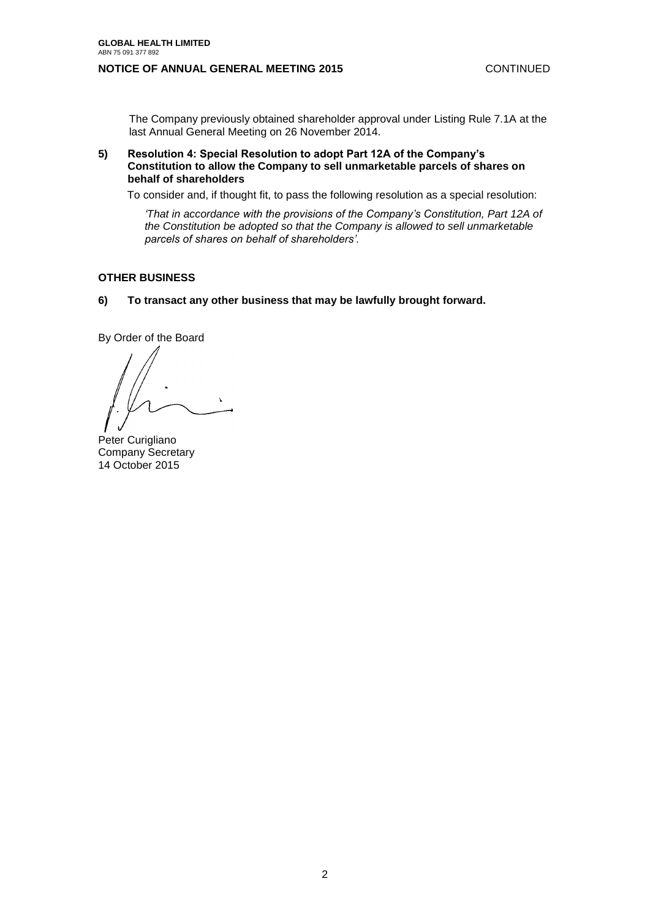## **NOTICE OF ANNUAL GENERAL MEETING 2015** CONTINUED

The Company previously obtained shareholder approval under Listing Rule 7.1A at the last Annual General Meeting on 26 November 2014.

<span id="page-2-0"></span>**5) Resolution 4: Special Resolution to adopt Part 12A of the Company's Constitution to allow the Company to sell unmarketable parcels of shares on behalf of shareholders**

To consider and, if thought fit, to pass the following resolution as a special resolution:

*'That in accordance with the provisions of the Company's Constitution, Part 12A of the Constitution be adopted so that the Company is allowed to sell unmarketable parcels of shares on behalf of shareholders'.*

#### <span id="page-2-1"></span>**OTHER BUSINESS**

<span id="page-2-2"></span>**6) To transact any other business that may be lawfully brought forward.**

By Order of the Board

Peter Curigliano Company Secretary 14 October 2015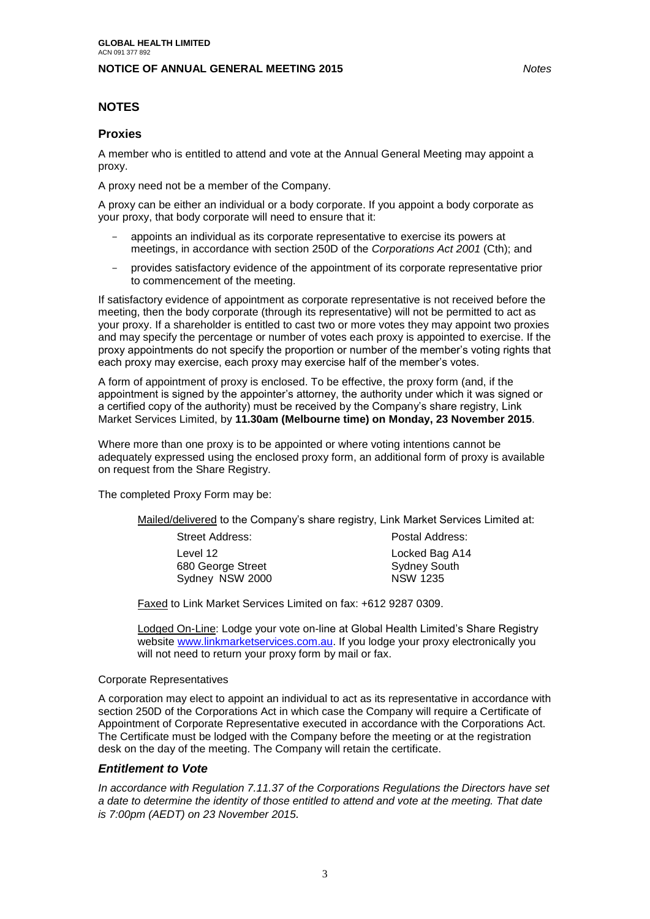## **NOTICE OF ANNUAL GENERAL MEETING 2015** *Notes*

## <span id="page-3-0"></span>**NOTES**

## **Proxies**

A member who is entitled to attend and vote at the Annual General Meeting may appoint a proxy.

A proxy need not be a member of the Company.

A proxy can be either an individual or a body corporate. If you appoint a body corporate as your proxy, that body corporate will need to ensure that it:

- appoints an individual as its corporate representative to exercise its powers at meetings, in accordance with section 250D of the *Corporations Act 2001* (Cth); and
- provides satisfactory evidence of the appointment of its corporate representative prior to commencement of the meeting.

If satisfactory evidence of appointment as corporate representative is not received before the meeting, then the body corporate (through its representative) will not be permitted to act as your proxy. If a shareholder is entitled to cast two or more votes they may appoint two proxies and may specify the percentage or number of votes each proxy is appointed to exercise. If the proxy appointments do not specify the proportion or number of the member's voting rights that each proxy may exercise, each proxy may exercise half of the member's votes.

A form of appointment of proxy is enclosed. To be effective, the proxy form (and, if the appointment is signed by the appointer's attorney, the authority under which it was signed or a certified copy of the authority) must be received by the Company's share registry, Link Market Services Limited, by **11.30am (Melbourne time) on Monday, 23 November 2015**.

Where more than one proxy is to be appointed or where voting intentions cannot be adequately expressed using the enclosed proxy form, an additional form of proxy is available on request from the Share Registry.

The completed Proxy Form may be:

Mailed/delivered to the Company's share registry, Link Market Services Limited at:

Level 12 680 George Street Sydney NSW 2000

Street Address: Postal Address: Locked Bag A14 Sydney South NSW 1235

Faxed to Link Market Services Limited on fax: +612 9287 0309.

Lodged On-Line: Lodge your vote on-line at Global Health Limited's Share Registry website [www.linkmarketservices.com.au.](http://www.linkmarketservices.com.au/) If you lodge your proxy electronically you will not need to return your proxy form by mail or fax.

#### Corporate Representatives

A corporation may elect to appoint an individual to act as its representative in accordance with section 250D of the Corporations Act in which case the Company will require a Certificate of Appointment of Corporate Representative executed in accordance with the Corporations Act. The Certificate must be lodged with the Company before the meeting or at the registration desk on the day of the meeting. The Company will retain the certificate.

## *Entitlement to Vote*

*In accordance with Regulation 7.11.37 of the Corporations Regulations the Directors have set a date to determine the identity of those entitled to attend and vote at the meeting. That date is 7:00pm (AEDT) on 23 November 2015.*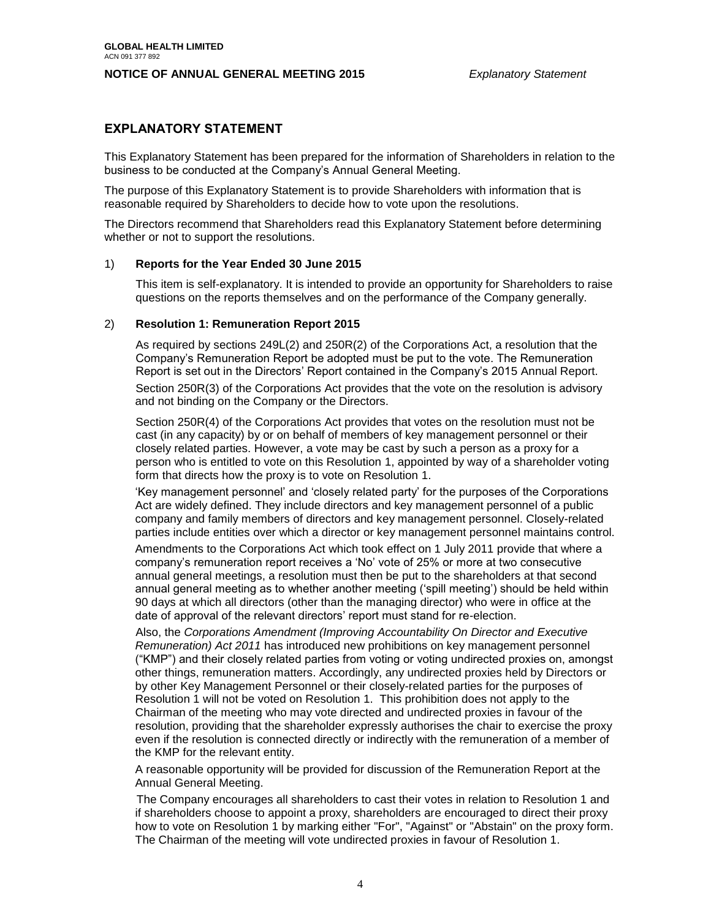## **EXPLANATORY STATEMENT**

<span id="page-4-0"></span>This Explanatory Statement has been prepared for the information of Shareholders in relation to the business to be conducted at the Company's Annual General Meeting.

The purpose of this Explanatory Statement is to provide Shareholders with information that is reasonable required by Shareholders to decide how to vote upon the resolutions.

The Directors recommend that Shareholders read this Explanatory Statement before determining whether or not to support the resolutions.

#### 1) **Reports for the Year Ended 30 June 2015**

This item is self-explanatory. It is intended to provide an opportunity for Shareholders to raise questions on the reports themselves and on the performance of the Company generally.

#### 2) **Resolution 1: Remuneration Report 2015**

As required by sections 249L(2) and 250R(2) of the Corporations Act, a resolution that the Company's Remuneration Report be adopted must be put to the vote. The Remuneration Report is set out in the Directors' Report contained in the Company's 2015 Annual Report.

Section 250R(3) of the Corporations Act provides that the vote on the resolution is advisory and not binding on the Company or the Directors.

Section 250R(4) of the Corporations Act provides that votes on the resolution must not be cast (in any capacity) by or on behalf of members of key management personnel or their closely related parties. However, a vote may be cast by such a person as a proxy for a person who is entitled to vote on this Resolution 1, appointed by way of a shareholder voting form that directs how the proxy is to vote on Resolution 1.

'Key management personnel' and 'closely related party' for the purposes of the Corporations Act are widely defined. They include directors and key management personnel of a public company and family members of directors and key management personnel. Closely-related parties include entities over which a director or key management personnel maintains control.

Amendments to the Corporations Act which took effect on 1 July 2011 provide that where a company's remuneration report receives a 'No' vote of 25% or more at two consecutive annual general meetings, a resolution must then be put to the shareholders at that second annual general meeting as to whether another meeting ('spill meeting') should be held within 90 days at which all directors (other than the managing director) who were in office at the date of approval of the relevant directors' report must stand for re-election.

Also, the *Corporations Amendment (Improving Accountability On Director and Executive Remuneration) Act 2011* has introduced new prohibitions on key management personnel ("KMP") and their closely related parties from voting or voting undirected proxies on, amongst other things, remuneration matters. Accordingly, any undirected proxies held by Directors or by other Key Management Personnel or their closely-related parties for the purposes of Resolution 1 will not be voted on Resolution 1. This prohibition does not apply to the Chairman of the meeting who may vote directed and undirected proxies in favour of the resolution, providing that the shareholder expressly authorises the chair to exercise the proxy even if the resolution is connected directly or indirectly with the remuneration of a member of the KMP for the relevant entity.

A reasonable opportunity will be provided for discussion of the Remuneration Report at the Annual General Meeting.

 The Company encourages all shareholders to cast their votes in relation to Resolution 1 and if shareholders choose to appoint a proxy, shareholders are encouraged to direct their proxy how to vote on Resolution 1 by marking either "For", "Against" or "Abstain" on the proxy form. The Chairman of the meeting will vote undirected proxies in favour of Resolution 1.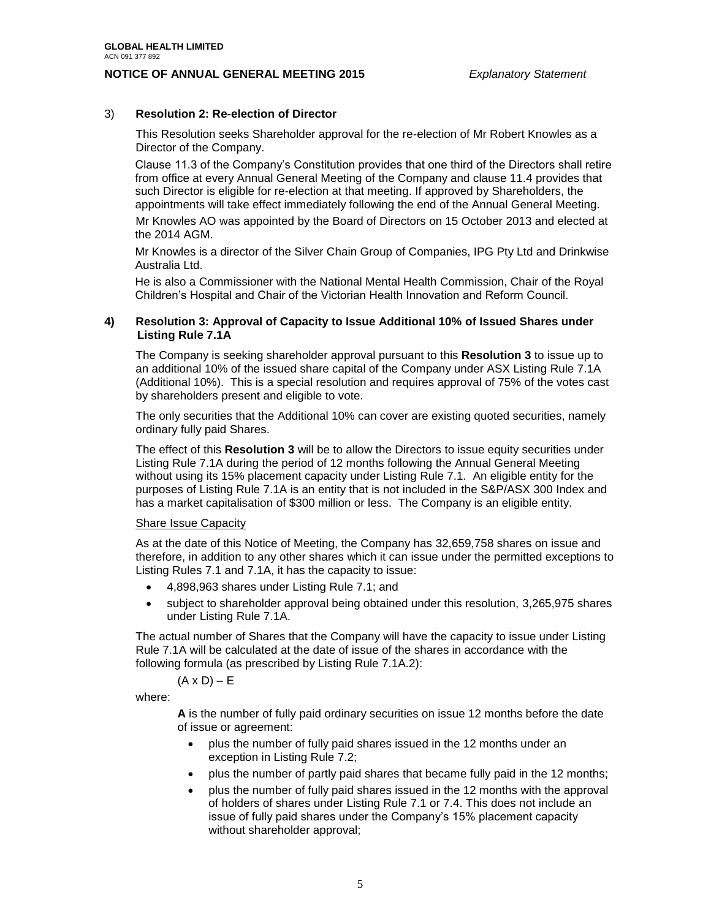### 3) **Resolution 2: Re-election of Director**

This Resolution seeks Shareholder approval for the re-election of Mr Robert Knowles as a Director of the Company.

Clause 11.3 of the Company's Constitution provides that one third of the Directors shall retire from office at every Annual General Meeting of the Company and clause 11.4 provides that such Director is eligible for re-election at that meeting. If approved by Shareholders, the appointments will take effect immediately following the end of the Annual General Meeting.

Mr Knowles AO was appointed by the Board of Directors on 15 October 2013 and elected at the 2014 AGM.

Mr Knowles is a director of the Silver Chain Group of Companies, IPG Pty Ltd and Drinkwise Australia Ltd.

He is also a Commissioner with the National Mental Health Commission, Chair of the Royal Children's Hospital and Chair of the Victorian Health Innovation and Reform Council.

#### **4) Resolution 3: Approval of Capacity to Issue Additional 10% of Issued Shares under Listing Rule 7.1A**

The Company is seeking shareholder approval pursuant to this **Resolution 3** to issue up to an additional 10% of the issued share capital of the Company under ASX Listing Rule 7.1A (Additional 10%). This is a special resolution and requires approval of 75% of the votes cast by shareholders present and eligible to vote.

The only securities that the Additional 10% can cover are existing quoted securities, namely ordinary fully paid Shares.

The effect of this **Resolution 3** will be to allow the Directors to issue equity securities under Listing Rule 7.1A during the period of 12 months following the Annual General Meeting without using its 15% placement capacity under Listing Rule 7.1. An eligible entity for the purposes of Listing Rule 7.1A is an entity that is not included in the S&P/ASX 300 Index and has a market capitalisation of \$300 million or less. The Company is an eligible entity.

#### Share Issue Capacity

As at the date of this Notice of Meeting, the Company has 32,659,758 shares on issue and therefore, in addition to any other shares which it can issue under the permitted exceptions to Listing Rules 7.1 and 7.1A, it has the capacity to issue:

- 4,898,963 shares under Listing Rule 7.1; and
- subject to shareholder approval being obtained under this resolution, 3,265,975 shares under Listing Rule 7.1A.

The actual number of Shares that the Company will have the capacity to issue under Listing Rule 7.1A will be calculated at the date of issue of the shares in accordance with the following formula (as prescribed by Listing Rule 7.1A.2):

 $(A \times D) - E$ 

where:

**A** is the number of fully paid ordinary securities on issue 12 months before the date of issue or agreement:

- plus the number of fully paid shares issued in the 12 months under an exception in Listing Rule 7.2;
- plus the number of partly paid shares that became fully paid in the 12 months;
- plus the number of fully paid shares issued in the 12 months with the approval of holders of shares under Listing Rule 7.1 or 7.4. This does not include an issue of fully paid shares under the Company's 15% placement capacity without shareholder approval;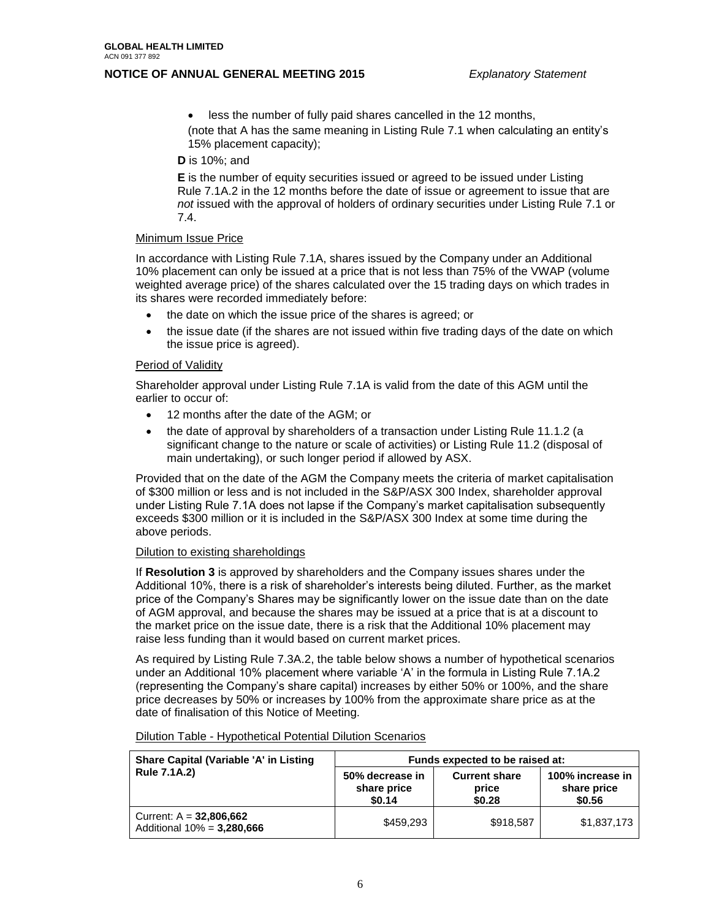less the number of fully paid shares cancelled in the 12 months, (note that A has the same meaning in Listing Rule 7.1 when calculating an entity's 15% placement capacity);

**D** is 10%; and

**E** is the number of equity securities issued or agreed to be issued under Listing Rule 7.1A.2 in the 12 months before the date of issue or agreement to issue that are *not* issued with the approval of holders of ordinary securities under Listing Rule 7.1 or 7.4.

#### Minimum Issue Price

In accordance with Listing Rule 7.1A, shares issued by the Company under an Additional 10% placement can only be issued at a price that is not less than 75% of the VWAP (volume weighted average price) of the shares calculated over the 15 trading days on which trades in its shares were recorded immediately before:

- the date on which the issue price of the shares is agreed; or
- the issue date (if the shares are not issued within five trading days of the date on which the issue price is agreed).

#### Period of Validity

Shareholder approval under Listing Rule 7.1A is valid from the date of this AGM until the earlier to occur of:

- 12 months after the date of the AGM; or
- the date of approval by shareholders of a transaction under Listing Rule 11.1.2 (a significant change to the nature or scale of activities) or Listing Rule 11.2 (disposal of main undertaking), or such longer period if allowed by ASX.

Provided that on the date of the AGM the Company meets the criteria of market capitalisation of \$300 million or less and is not included in the S&P/ASX 300 Index, shareholder approval under Listing Rule 7.1A does not lapse if the Company's market capitalisation subsequently exceeds \$300 million or it is included in the S&P/ASX 300 Index at some time during the above periods.

#### Dilution to existing shareholdings

If **Resolution 3** is approved by shareholders and the Company issues shares under the Additional 10%, there is a risk of shareholder's interests being diluted. Further, as the market price of the Company's Shares may be significantly lower on the issue date than on the date of AGM approval, and because the shares may be issued at a price that is at a discount to the market price on the issue date, there is a risk that the Additional 10% placement may raise less funding than it would based on current market prices.

As required by Listing Rule 7.3A.2, the table below shows a number of hypothetical scenarios under an Additional 10% placement where variable 'A' in the formula in Listing Rule 7.1A.2 (representing the Company's share capital) increases by either 50% or 100%, and the share price decreases by 50% or increases by 100% from the approximate share price as at the date of finalisation of this Notice of Meeting.

Dilution Table - Hypothetical Potential Dilution Scenarios

| <b>Share Capital (Variable 'A' in Listing</b>              | Funds expected to be raised at:          |                                         |                                           |
|------------------------------------------------------------|------------------------------------------|-----------------------------------------|-------------------------------------------|
| <b>Rule 7.1A.2)</b>                                        | 50% decrease in<br>share price<br>\$0.14 | <b>Current share</b><br>price<br>\$0.28 | 100% increase in<br>share price<br>\$0.56 |
| Current: $A = 32,806,662$<br>Additional $10\% = 3,280,666$ | \$459.293                                | \$918,587                               | \$1,837,173                               |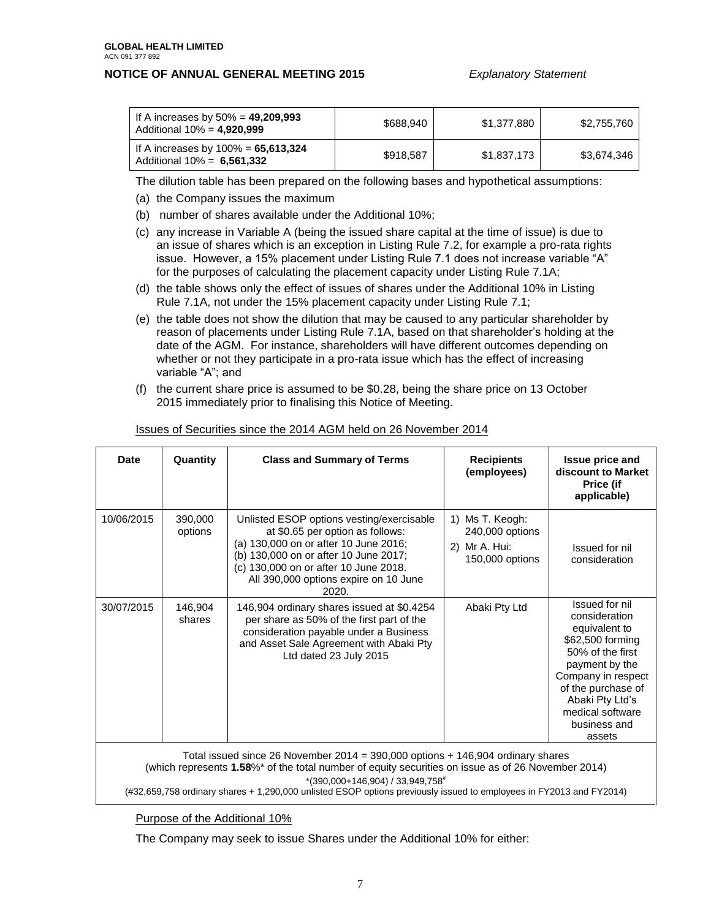| If A increases by $50\% = 49,209,993$<br>Additional $10\% = 4,920,999$  | \$688.940 | \$1,377,880 | \$2,755,760 |
|-------------------------------------------------------------------------|-----------|-------------|-------------|
| If A increases by $100\% = 65,613,324$<br>Additional $10\% = 6,561,332$ | \$918,587 | \$1,837,173 | \$3,674,346 |

The dilution table has been prepared on the following bases and hypothetical assumptions:

- (a) the Company issues the maximum
- (b) number of shares available under the Additional 10%;
- (c) any increase in Variable A (being the issued share capital at the time of issue) is due to an issue of shares which is an exception in Listing Rule 7.2, for example a pro-rata rights issue. However, a 15% placement under Listing Rule 7.1 does not increase variable "A" for the purposes of calculating the placement capacity under Listing Rule 7.1A;
- (d) the table shows only the effect of issues of shares under the Additional 10% in Listing Rule 7.1A, not under the 15% placement capacity under Listing Rule 7.1;
- (e) the table does not show the dilution that may be caused to any particular shareholder by reason of placements under Listing Rule 7.1A, based on that shareholder's holding at the date of the AGM. For instance, shareholders will have different outcomes depending on whether or not they participate in a pro-rata issue which has the effect of increasing variable "A"; and
- (f) the current share price is assumed to be \$0.28, being the share price on 13 October 2015 immediately prior to finalising this Notice of Meeting.

| <b>Date</b> | Quantity           | <b>Class and Summary of Terms</b>                                                                                                                                                                                                                          | <b>Recipients</b><br>(employees)                                             | <b>Issue price and</b><br>discount to Market<br><b>Price (if</b><br>applicable)                                                                                                                                         |
|-------------|--------------------|------------------------------------------------------------------------------------------------------------------------------------------------------------------------------------------------------------------------------------------------------------|------------------------------------------------------------------------------|-------------------------------------------------------------------------------------------------------------------------------------------------------------------------------------------------------------------------|
| 10/06/2015  | 390,000<br>options | Unlisted ESOP options vesting/exercisable<br>at \$0.65 per option as follows:<br>(a) 130,000 on or after 10 June 2016;<br>(b) 130,000 on or after 10 June 2017;<br>(c) 130,000 on or after 10 June 2018.<br>All 390,000 options expire on 10 June<br>2020. | Ms T. Keogh:<br>1)<br>240,000 options<br>Mr A. Hui:<br>2)<br>150,000 options | Issued for nil<br>consideration                                                                                                                                                                                         |
| 30/07/2015  | 146,904<br>shares  | 146,904 ordinary shares issued at \$0.4254<br>per share as 50% of the first part of the<br>consideration payable under a Business<br>and Asset Sale Agreement with Abaki Pty<br>Ltd dated 23 July 2015                                                     | Abaki Pty Ltd                                                                | Issued for nil<br>consideration<br>equivalent to<br>\$62,500 forming<br>50% of the first<br>payment by the<br>Company in respect<br>of the purchase of<br>Abaki Pty Ltd's<br>medical software<br>business and<br>assets |

#### Issues of Securities since the 2014 AGM held on 26 November 2014

(which represents **1.58**%\* of the total number of equity securities on issue as of 26 November 2014)  $*(390,000+146,904)/33,949,758$ <sup>#</sup>

(#32,659,758 ordinary shares + 1,290,000 unlisted ESOP options previously issued to employees in FY2013 and FY2014)

Purpose of the Additional 10%

The Company may seek to issue Shares under the Additional 10% for either: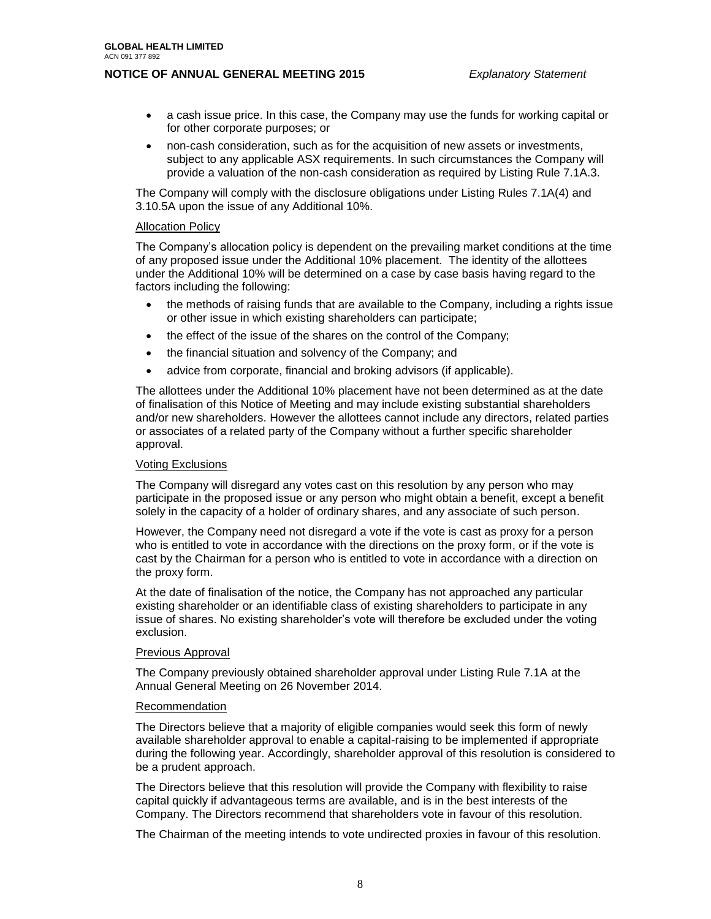- a cash issue price. In this case, the Company may use the funds for working capital or for other corporate purposes; or
- non-cash consideration, such as for the acquisition of new assets or investments, subject to any applicable ASX requirements. In such circumstances the Company will provide a valuation of the non-cash consideration as required by Listing Rule 7.1A.3.

The Company will comply with the disclosure obligations under Listing Rules 7.1A(4) and 3.10.5A upon the issue of any Additional 10%.

#### Allocation Policy

The Company's allocation policy is dependent on the prevailing market conditions at the time of any proposed issue under the Additional 10% placement. The identity of the allottees under the Additional 10% will be determined on a case by case basis having regard to the factors including the following:

- the methods of raising funds that are available to the Company, including a rights issue or other issue in which existing shareholders can participate;
- the effect of the issue of the shares on the control of the Company;
- the financial situation and solvency of the Company; and
- advice from corporate, financial and broking advisors (if applicable).

The allottees under the Additional 10% placement have not been determined as at the date of finalisation of this Notice of Meeting and may include existing substantial shareholders and/or new shareholders. However the allottees cannot include any directors, related parties or associates of a related party of the Company without a further specific shareholder approval.

#### Voting Exclusions

The Company will disregard any votes cast on this resolution by any person who may participate in the proposed issue or any person who might obtain a benefit, except a benefit solely in the capacity of a holder of ordinary shares, and any associate of such person.

However, the Company need not disregard a vote if the vote is cast as proxy for a person who is entitled to vote in accordance with the directions on the proxy form, or if the vote is cast by the Chairman for a person who is entitled to vote in accordance with a direction on the proxy form.

At the date of finalisation of the notice, the Company has not approached any particular existing shareholder or an identifiable class of existing shareholders to participate in any issue of shares. No existing shareholder's vote will therefore be excluded under the voting exclusion.

#### Previous Approval

The Company previously obtained shareholder approval under Listing Rule 7.1A at the Annual General Meeting on 26 November 2014.

#### Recommendation

The Directors believe that a majority of eligible companies would seek this form of newly available shareholder approval to enable a capital-raising to be implemented if appropriate during the following year. Accordingly, shareholder approval of this resolution is considered to be a prudent approach.

The Directors believe that this resolution will provide the Company with flexibility to raise capital quickly if advantageous terms are available, and is in the best interests of the Company. The Directors recommend that shareholders vote in favour of this resolution.

The Chairman of the meeting intends to vote undirected proxies in favour of this resolution.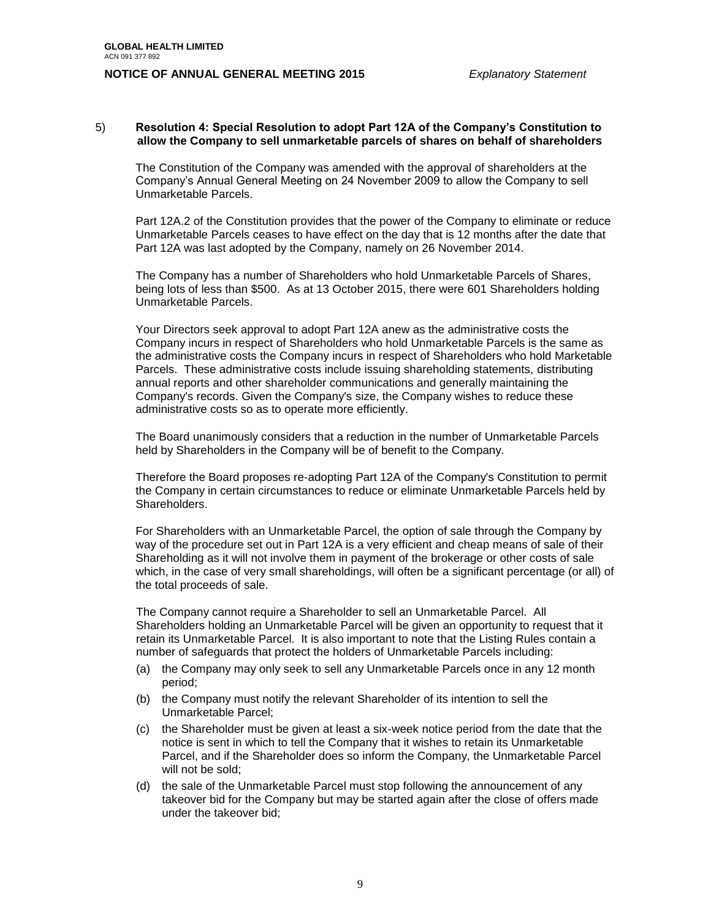#### 5) **Resolution 4: Special Resolution to adopt Part 12A of the Company's Constitution to allow the Company to sell unmarketable parcels of shares on behalf of shareholders**

The Constitution of the Company was amended with the approval of shareholders at the Company's Annual General Meeting on 24 November 2009 to allow the Company to sell Unmarketable Parcels.

Part 12A.2 of the Constitution provides that the power of the Company to eliminate or reduce Unmarketable Parcels ceases to have effect on the day that is 12 months after the date that Part 12A was last adopted by the Company, namely on 26 November 2014.

The Company has a number of Shareholders who hold Unmarketable Parcels of Shares, being lots of less than \$500. As at 13 October 2015, there were 601 Shareholders holding Unmarketable Parcels.

Your Directors seek approval to adopt Part 12A anew as the administrative costs the Company incurs in respect of Shareholders who hold Unmarketable Parcels is the same as the administrative costs the Company incurs in respect of Shareholders who hold Marketable Parcels. These administrative costs include issuing shareholding statements, distributing annual reports and other shareholder communications and generally maintaining the Company's records. Given the Company's size, the Company wishes to reduce these administrative costs so as to operate more efficiently.

The Board unanimously considers that a reduction in the number of Unmarketable Parcels held by Shareholders in the Company will be of benefit to the Company.

Therefore the Board proposes re-adopting Part 12A of the Company's Constitution to permit the Company in certain circumstances to reduce or eliminate Unmarketable Parcels held by Shareholders.

For Shareholders with an Unmarketable Parcel, the option of sale through the Company by way of the procedure set out in Part 12A is a very efficient and cheap means of sale of their Shareholding as it will not involve them in payment of the brokerage or other costs of sale which, in the case of very small shareholdings, will often be a significant percentage (or all) of the total proceeds of sale.

The Company cannot require a Shareholder to sell an Unmarketable Parcel. All Shareholders holding an Unmarketable Parcel will be given an opportunity to request that it retain its Unmarketable Parcel. It is also important to note that the Listing Rules contain a number of safeguards that protect the holders of Unmarketable Parcels including:

- (a) the Company may only seek to sell any Unmarketable Parcels once in any 12 month period;
- (b) the Company must notify the relevant Shareholder of its intention to sell the Unmarketable Parcel;
- (c) the Shareholder must be given at least a six-week notice period from the date that the notice is sent in which to tell the Company that it wishes to retain its Unmarketable Parcel, and if the Shareholder does so inform the Company, the Unmarketable Parcel will not be sold;
- (d) the sale of the Unmarketable Parcel must stop following the announcement of any takeover bid for the Company but may be started again after the close of offers made under the takeover bid;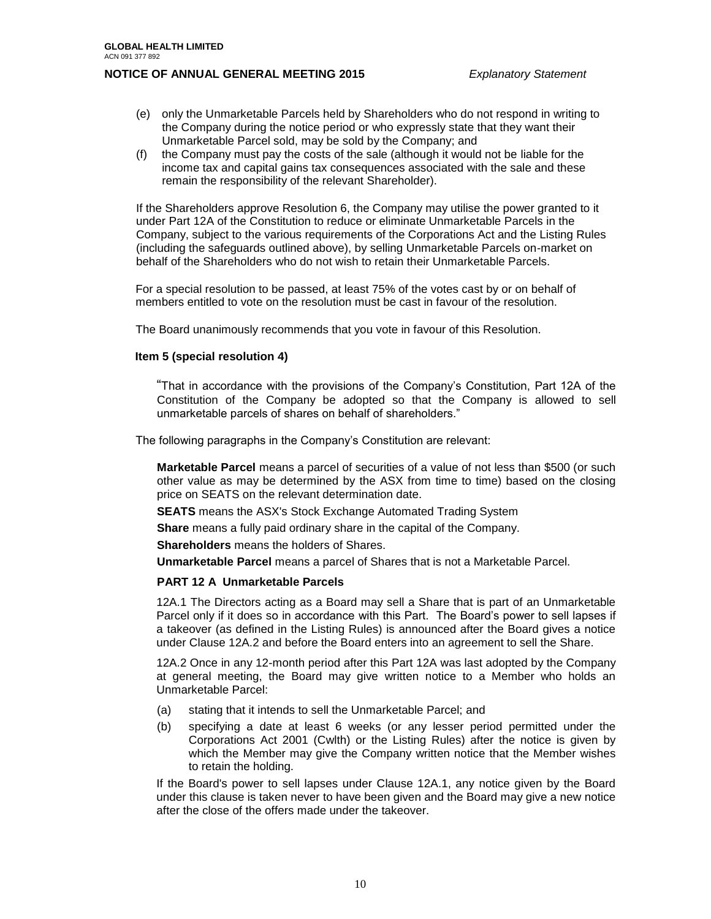- (e) only the Unmarketable Parcels held by Shareholders who do not respond in writing to the Company during the notice period or who expressly state that they want their Unmarketable Parcel sold, may be sold by the Company; and
- (f) the Company must pay the costs of the sale (although it would not be liable for the income tax and capital gains tax consequences associated with the sale and these remain the responsibility of the relevant Shareholder).

If the Shareholders approve Resolution 6, the Company may utilise the power granted to it under Part 12A of the Constitution to reduce or eliminate Unmarketable Parcels in the Company, subject to the various requirements of the Corporations Act and the Listing Rules (including the safeguards outlined above), by selling Unmarketable Parcels on-market on behalf of the Shareholders who do not wish to retain their Unmarketable Parcels.

For a special resolution to be passed, at least 75% of the votes cast by or on behalf of members entitled to vote on the resolution must be cast in favour of the resolution.

The Board unanimously recommends that you vote in favour of this Resolution.

#### **Item 5 (special resolution 4)**

"That in accordance with the provisions of the Company's Constitution, Part 12A of the Constitution of the Company be adopted so that the Company is allowed to sell unmarketable parcels of shares on behalf of shareholders."

The following paragraphs in the Company's Constitution are relevant:

**Marketable Parcel** means a parcel of securities of a value of not less than \$500 (or such other value as may be determined by the ASX from time to time) based on the closing price on SEATS on the relevant determination date.

**SEATS** means the ASX's Stock Exchange Automated Trading System

**Share** means a fully paid ordinary share in the capital of the Company.

**Shareholders** means the holders of Shares.

**Unmarketable Parcel** means a parcel of Shares that is not a Marketable Parcel.

#### **PART 12 A Unmarketable Parcels**

12A.1 The Directors acting as a Board may sell a Share that is part of an Unmarketable Parcel only if it does so in accordance with this Part. The Board's power to sell lapses if a takeover (as defined in the Listing Rules) is announced after the Board gives a notice under Clause 12A.2 and before the Board enters into an agreement to sell the Share.

12A.2 Once in any 12-month period after this Part 12A was last adopted by the Company at general meeting, the Board may give written notice to a Member who holds an Unmarketable Parcel:

- (a) stating that it intends to sell the Unmarketable Parcel; and
- (b) specifying a date at least 6 weeks (or any lesser period permitted under the Corporations Act 2001 (Cwlth) or the Listing Rules) after the notice is given by which the Member may give the Company written notice that the Member wishes to retain the holding.

If the Board's power to sell lapses under Clause 12A.1, any notice given by the Board under this clause is taken never to have been given and the Board may give a new notice after the close of the offers made under the takeover.